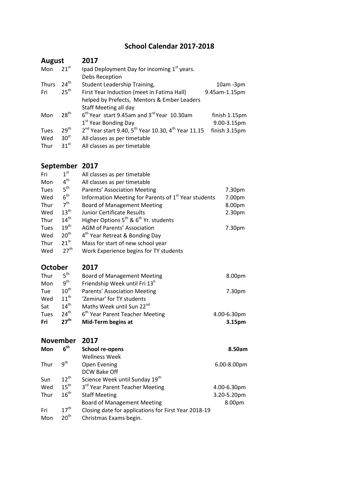## **School Calendar 2017-2018**

| <b>August</b> |                  | 2017                                                                                    |               |
|---------------|------------------|-----------------------------------------------------------------------------------------|---------------|
| Mon           | $21^{st}$        | Ipad Deployment Day for incoming 1st years.                                             |               |
|               |                  | Debs Reception                                                                          |               |
| Thurs         | $24^{\text{th}}$ | Student Leadership Training,                                                            | $10am - 3pm$  |
| Fri           | 25 <sup>th</sup> | First Year Induction (meet in Fatima Hall)                                              | 9.45am-1.15pm |
|               |                  | helped by Prefects, Mentors & Ember Leaders                                             |               |
|               |                  | Staff Meeting all day                                                                   |               |
| Mon           | 28 <sup>th</sup> | $6th$ Year start 9.45am and 3 <sup>rd</sup> Year 10.30am                                | finish 1.15pm |
|               |                  | 1 <sup>st</sup> Year Bonding Day                                                        | 9.00-3.15pm   |
| Tues          | $29^{\text{th}}$ | 2 <sup>nd</sup> Year start 9.40, 5 <sup>th</sup> Year 10.30, 4 <sup>th</sup> Year 11.15 | finish 3.15pm |
| Wed           | 30 <sup>st</sup> | All classes as per timetable                                                            |               |
| Thur          | $31^{st}$        | All classes as per timetable                                                            |               |

## **September 2017**

| Fri         | 1 <sup>st</sup>  | All classes as per timetable                                     |                    |
|-------------|------------------|------------------------------------------------------------------|--------------------|
| Mon         | 4 <sup>th</sup>  | All classes as per timetable                                     |                    |
| Tues        | 5 <sup>th</sup>  | Parents' Association Meeting                                     | 7.30pm             |
| Wed         | 6 <sup>th</sup>  | Information Meeting for Parents of 1 <sup>st</sup> Year students | 7.00pm             |
| Thur        | 7 <sup>th</sup>  | <b>Board of Management Meeting</b>                               | 8.00pm             |
| Wed         | $13^{\text{th}}$ | Junior Certificate Results                                       | 2.30 <sub>pm</sub> |
| Thur        | 14 <sup>th</sup> | Higher Options $5^{th}$ & $6^{th}$ Yr. students                  |                    |
| <b>Tues</b> | $19^{\text{th}}$ | <b>AGM of Parents' Association</b>                               | 7.30pm             |
| Wed         | 20 <sup>th</sup> | 4 <sup>th</sup> Year Retreat & Bonding Day                       |                    |
| Thur        | $21^{\text{st}}$ | Mass for start of new school year                                |                    |
| Wed         | $27^{\text{th}}$ | Work Experience begins for TY students                           |                    |
|             |                  |                                                                  |                    |

**October 2017**

| Thur | 5 <sup>th</sup>  | <b>Board of Management Meeting</b>          | 8.00pm      |
|------|------------------|---------------------------------------------|-------------|
| Mon  | $q^{th}$         | Friendship Week until Fri 13 <sup>h</sup>   |             |
| Tue  | $10^{\text{th}}$ | Parents' Association Meeting                | 7.30pm      |
| Wed  | $11^{th}$        | 'Zeminar' for TY students                   |             |
| Sat  | $14^{\text{th}}$ | Maths Week until Sun 22 <sup>nd</sup>       |             |
| Tues | $24^{\text{th}}$ | 6 <sup>th</sup> Year Parent Teacher Meeting | 4.00-6.30pm |
| Fri  | 27 <sup>th</sup> | Mid-Term begins at                          | 3.15pm      |

| <b>November</b> |                  | 2017                                                 |             |  |
|-----------------|------------------|------------------------------------------------------|-------------|--|
| Mon             | 6 <sup>th</sup>  | <b>School re-opens</b>                               | 8.50am      |  |
|                 |                  | <b>Wellness Week</b>                                 |             |  |
| Thur            | 9 <sup>th</sup>  | Open Evening                                         | 6.00-8.00pm |  |
|                 |                  | DCW Bake Off                                         |             |  |
| Sun             | $12^{\text{th}}$ | Science Week until Sunday 19 <sup>th</sup>           |             |  |
| Wed             | $15^{\text{th}}$ | 3rd Year Parent Teacher Meeting                      | 4.00-6.30pm |  |
| Thur            | $16^{\text{th}}$ | <b>Staff Meeting</b>                                 | 3.20-5.20pm |  |
|                 |                  | <b>Board of Management Meeting</b>                   | 8.00pm      |  |
| Fri             | $17^{\text{th}}$ | Closing date for applications for First Year 2018-19 |             |  |
| Mon             | 20 <sup>th</sup> | Christmas Exams begin.                               |             |  |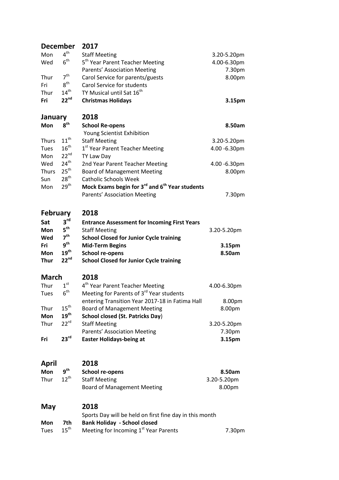| <b>December</b>         |                  | 2017                                                                   |              |
|-------------------------|------------------|------------------------------------------------------------------------|--------------|
| Mon                     | 4 <sup>th</sup>  | <b>Staff Meeting</b>                                                   | 3.20-5.20pm  |
| Wed                     | 6 <sup>th</sup>  | 5 <sup>th</sup> Year Parent Teacher Meeting                            | 4.00-6.30pm  |
|                         |                  | Parents' Association Meeting                                           | 7.30pm       |
| Thur                    | 7 <sup>th</sup>  | Carol Service for parents/guests                                       | 8.00pm       |
| Fri                     | 8 <sup>th</sup>  | Carol Service for students                                             |              |
| Thur                    | $14^{th}$        | TY Musical until Sat 16 <sup>th</sup>                                  |              |
| Fri                     | $22^{nd}$        | <b>Christmas Holidays</b>                                              | 3.15pm       |
| January                 |                  | 2018                                                                   |              |
| Mon                     | 8 <sup>th</sup>  | <b>School Re-opens</b>                                                 | 8.50am       |
|                         |                  | Young Scientist Exhibition                                             |              |
| Thurs                   | $11^{\text{th}}$ | <b>Staff Meeting</b>                                                   | 3.20-5.20pm  |
| Tues                    | $16^{\text{th}}$ | 1 <sup>st</sup> Year Parent Teacher Meeting                            | 4.00 -6.30pm |
| Mon                     | $22^{nd}$        | TY Law Day                                                             |              |
| Wed                     | $24^{\text{th}}$ | 2nd Year Parent Teacher Meeting                                        | 4.00 -6.30pm |
| Thurs                   | 25 <sup>th</sup> | <b>Board of Management Meeting</b>                                     | 8.00pm       |
| Sun                     | 28 <sup>th</sup> | <b>Catholic Schools Week</b>                                           |              |
| Mon                     | 29 <sup>th</sup> | Mock Exams begin for 3 <sup>rd</sup> and 6 <sup>th</sup> Year students |              |
|                         |                  | Parents' Association Meeting                                           | 7.30pm       |
| 2018<br><b>February</b> |                  |                                                                        |              |
| Sat                     | 3 <sup>rd</sup>  | <b>Entrance Assessment for Incoming First Years</b>                    |              |
| Mon                     | $5^{\text{th}}$  | <b>Staff Meeting</b>                                                   | 3.20-5.20pm  |
| Wed                     | 7 <sup>th</sup>  | <b>School Closed for Junior Cycle training</b>                         |              |
| Fri                     | $9^{\text{th}}$  | <b>Mid-Term Begins</b>                                                 | 3.15pm       |
| Mon                     | $19^{\text{th}}$ | <b>School re-opens</b>                                                 | 8.50am       |
| <b>Thur</b>             | $22^{nd}$        | <b>School Closed for Junior Cycle training</b>                         |              |
| <b>March</b>            |                  | 2018                                                                   |              |
| Thur                    | $1^{\text{st}}$  | 4 <sup>th</sup> Year Parent Teacher Meeting                            | 4.00-6.30pm  |
| <b>Tues</b>             | 6 <sup>th</sup>  | Meeting for Parents of 3 <sup>rd</sup> Year students                   |              |
|                         |                  | entering Transition Year 2017-18 in Fatima Hall                        | 8.00pm       |
| Thur                    | 15 <sup>th</sup> | <b>Board of Management Meeting</b>                                     | 8.00pm       |
| Mon                     | $19^{\text{th}}$ | <b>School closed (St. Patricks Day)</b>                                |              |
| Thur                    | $22^{\text{rd}}$ | <b>Staff Meeting</b>                                                   | 3.20-5.20pm  |
|                         |                  | Parents' Association Meeting                                           | 7.30pm       |
| Fri                     | 23 <sup>rd</sup> | <b>Easter Holidays-being at</b>                                        | 3.15pm       |
|                         |                  |                                                                        |              |
| April                   |                  | 2018                                                                   |              |
| Mon                     | 9 <sup>th</sup>  | <b>School re-opens</b>                                                 | 8.50am       |
| Thur                    | $12^{\text{th}}$ | <b>Staff Meeting</b>                                                   | 3.20-5.20pm  |
|                         |                  | <b>Board of Management Meeting</b>                                     | 8.00pm       |
| May                     |                  | 2018                                                                   |              |
|                         |                  | Sports Day will be held on first fine day in this month                |              |
| Mon                     | 7th              | <b>Bank Holiday - School closed</b>                                    |              |
| <b>Tues</b>             | $15^{\text{th}}$ | Meeting for Incoming 1 <sup>st</sup> Year Parents                      | 7.30pm       |